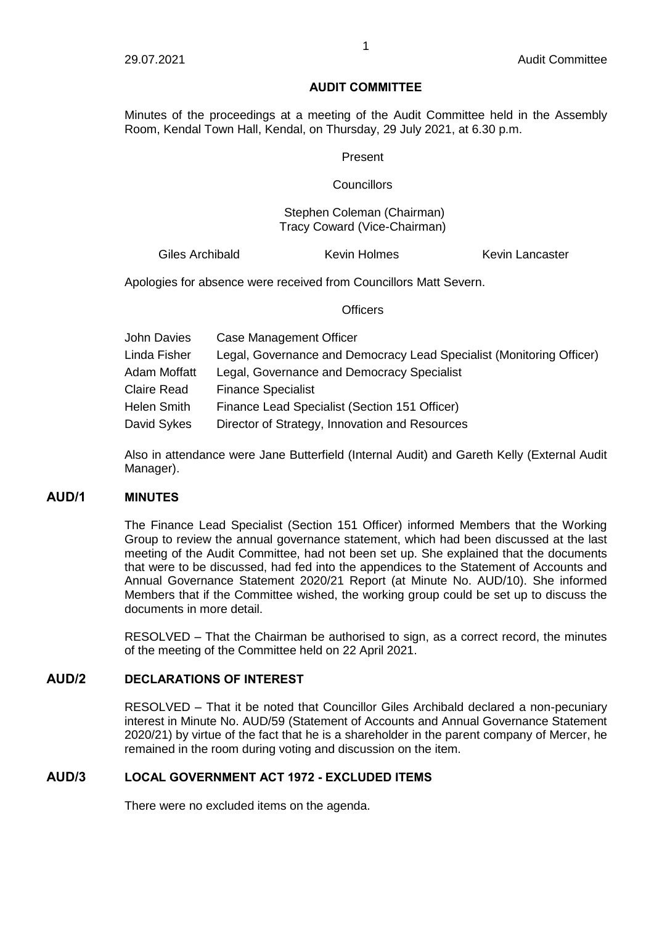### **AUDIT COMMITTEE**

Minutes of the proceedings at a meeting of the Audit Committee held in the Assembly Room, Kendal Town Hall, Kendal, on Thursday, 29 July 2021, at 6.30 p.m.

#### Present

### **Councillors**

### Stephen Coleman (Chairman) Tracy Coward (Vice-Chairman)

Giles Archibald **Kevin Holmes** Kevin Lancaster

Apologies for absence were received from Councillors Matt Severn.

#### Officers

| John Davies  | Case Management Officer                                              |
|--------------|----------------------------------------------------------------------|
| Linda Fisher | Legal, Governance and Democracy Lead Specialist (Monitoring Officer) |
| Adam Moffatt | Legal, Governance and Democracy Specialist                           |
| Claire Read  | <b>Finance Specialist</b>                                            |
| Helen Smith  | Finance Lead Specialist (Section 151 Officer)                        |
| David Sykes  | Director of Strategy, Innovation and Resources                       |

Also in attendance were Jane Butterfield (Internal Audit) and Gareth Kelly (External Audit Manager).

### **AUD/1 MINUTES**

The Finance Lead Specialist (Section 151 Officer) informed Members that the Working Group to review the annual governance statement, which had been discussed at the last meeting of the Audit Committee, had not been set up. She explained that the documents that were to be discussed, had fed into the appendices to the Statement of Accounts and Annual Governance Statement 2020/21 Report (at Minute No. AUD/10). She informed Members that if the Committee wished, the working group could be set up to discuss the documents in more detail.

RESOLVED – That the Chairman be authorised to sign, as a correct record, the minutes of the meeting of the Committee held on 22 April 2021.

# **AUD/2 DECLARATIONS OF INTEREST**

RESOLVED – That it be noted that Councillor Giles Archibald declared a non-pecuniary interest in Minute No. AUD/59 (Statement of Accounts and Annual Governance Statement 2020/21) by virtue of the fact that he is a shareholder in the parent company of Mercer, he remained in the room during voting and discussion on the item.

# **AUD/3 LOCAL GOVERNMENT ACT 1972 - EXCLUDED ITEMS**

There were no excluded items on the agenda.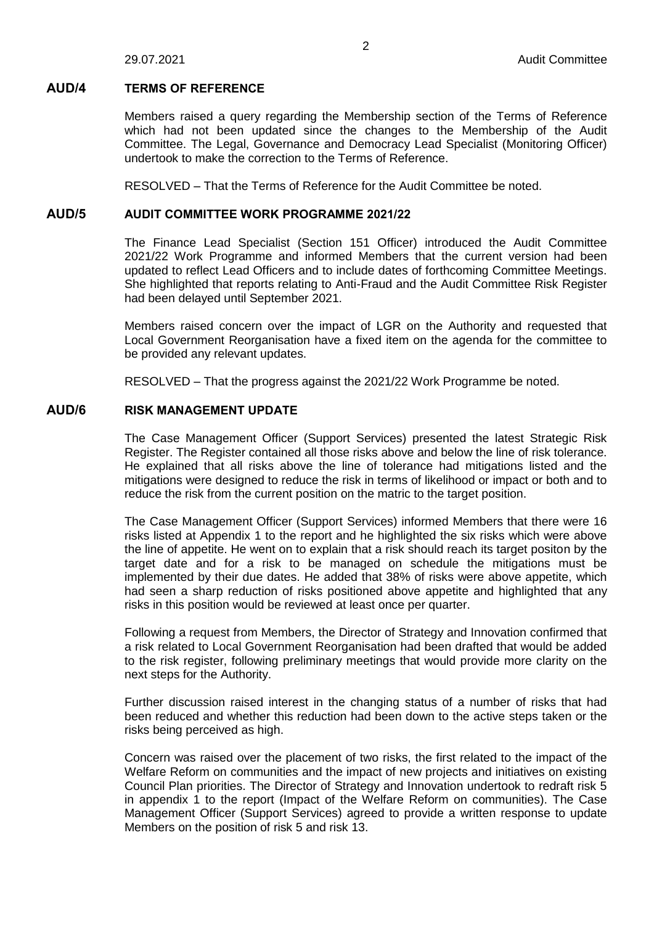#### **AUD/4 TERMS OF REFERENCE**

Members raised a query regarding the Membership section of the Terms of Reference which had not been updated since the changes to the Membership of the Audit Committee. The Legal, Governance and Democracy Lead Specialist (Monitoring Officer) undertook to make the correction to the Terms of Reference.

RESOLVED – That the Terms of Reference for the Audit Committee be noted.

### **AUD/5 AUDIT COMMITTEE WORK PROGRAMME 2021/22**

The Finance Lead Specialist (Section 151 Officer) introduced the Audit Committee 2021/22 Work Programme and informed Members that the current version had been updated to reflect Lead Officers and to include dates of forthcoming Committee Meetings. She highlighted that reports relating to Anti-Fraud and the Audit Committee Risk Register had been delayed until September 2021.

Members raised concern over the impact of LGR on the Authority and requested that Local Government Reorganisation have a fixed item on the agenda for the committee to be provided any relevant updates.

RESOLVED – That the progress against the 2021/22 Work Programme be noted.

### **AUD/6 RISK MANAGEMENT UPDATE**

The Case Management Officer (Support Services) presented the latest Strategic Risk Register. The Register contained all those risks above and below the line of risk tolerance. He explained that all risks above the line of tolerance had mitigations listed and the mitigations were designed to reduce the risk in terms of likelihood or impact or both and to reduce the risk from the current position on the matric to the target position.

The Case Management Officer (Support Services) informed Members that there were 16 risks listed at Appendix 1 to the report and he highlighted the six risks which were above the line of appetite. He went on to explain that a risk should reach its target positon by the target date and for a risk to be managed on schedule the mitigations must be implemented by their due dates. He added that 38% of risks were above appetite, which had seen a sharp reduction of risks positioned above appetite and highlighted that any risks in this position would be reviewed at least once per quarter.

Following a request from Members, the Director of Strategy and Innovation confirmed that a risk related to Local Government Reorganisation had been drafted that would be added to the risk register, following preliminary meetings that would provide more clarity on the next steps for the Authority.

Further discussion raised interest in the changing status of a number of risks that had been reduced and whether this reduction had been down to the active steps taken or the risks being perceived as high.

Concern was raised over the placement of two risks, the first related to the impact of the Welfare Reform on communities and the impact of new projects and initiatives on existing Council Plan priorities. The Director of Strategy and Innovation undertook to redraft risk 5 in appendix 1 to the report (Impact of the Welfare Reform on communities). The Case Management Officer (Support Services) agreed to provide a written response to update Members on the position of risk 5 and risk 13.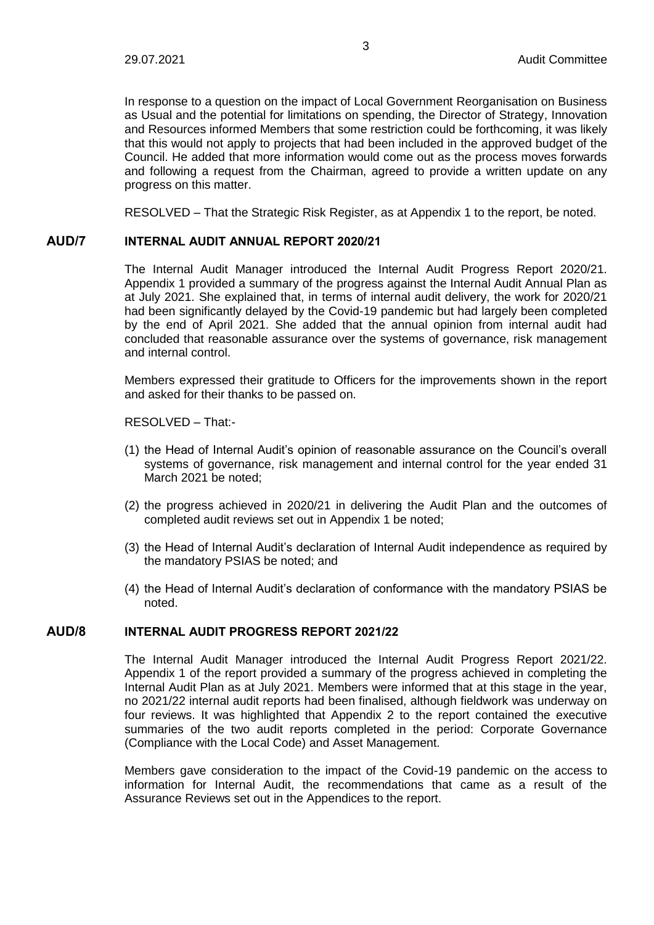In response to a question on the impact of Local Government Reorganisation on Business as Usual and the potential for limitations on spending, the Director of Strategy, Innovation and Resources informed Members that some restriction could be forthcoming, it was likely that this would not apply to projects that had been included in the approved budget of the Council. He added that more information would come out as the process moves forwards and following a request from the Chairman, agreed to provide a written update on any progress on this matter.

RESOLVED – That the Strategic Risk Register, as at Appendix 1 to the report, be noted.

### **AUD/7 INTERNAL AUDIT ANNUAL REPORT 2020/21**

The Internal Audit Manager introduced the Internal Audit Progress Report 2020/21. Appendix 1 provided a summary of the progress against the Internal Audit Annual Plan as at July 2021. She explained that, in terms of internal audit delivery, the work for 2020/21 had been significantly delayed by the Covid-19 pandemic but had largely been completed by the end of April 2021. She added that the annual opinion from internal audit had concluded that reasonable assurance over the systems of governance, risk management and internal control.

Members expressed their gratitude to Officers for the improvements shown in the report and asked for their thanks to be passed on.

RESOLVED – That:-

- (1) the Head of Internal Audit's opinion of reasonable assurance on the Council's overall systems of governance, risk management and internal control for the year ended 31 March 2021 be noted;
- (2) the progress achieved in 2020/21 in delivering the Audit Plan and the outcomes of completed audit reviews set out in Appendix 1 be noted;
- (3) the Head of Internal Audit's declaration of Internal Audit independence as required by the mandatory PSIAS be noted; and
- (4) the Head of Internal Audit's declaration of conformance with the mandatory PSIAS be noted.

### **AUD/8 INTERNAL AUDIT PROGRESS REPORT 2021/22**

The Internal Audit Manager introduced the Internal Audit Progress Report 2021/22. Appendix 1 of the report provided a summary of the progress achieved in completing the Internal Audit Plan as at July 2021. Members were informed that at this stage in the year, no 2021/22 internal audit reports had been finalised, although fieldwork was underway on four reviews. It was highlighted that Appendix 2 to the report contained the executive summaries of the two audit reports completed in the period: Corporate Governance (Compliance with the Local Code) and Asset Management.

Members gave consideration to the impact of the Covid-19 pandemic on the access to information for Internal Audit, the recommendations that came as a result of the Assurance Reviews set out in the Appendices to the report.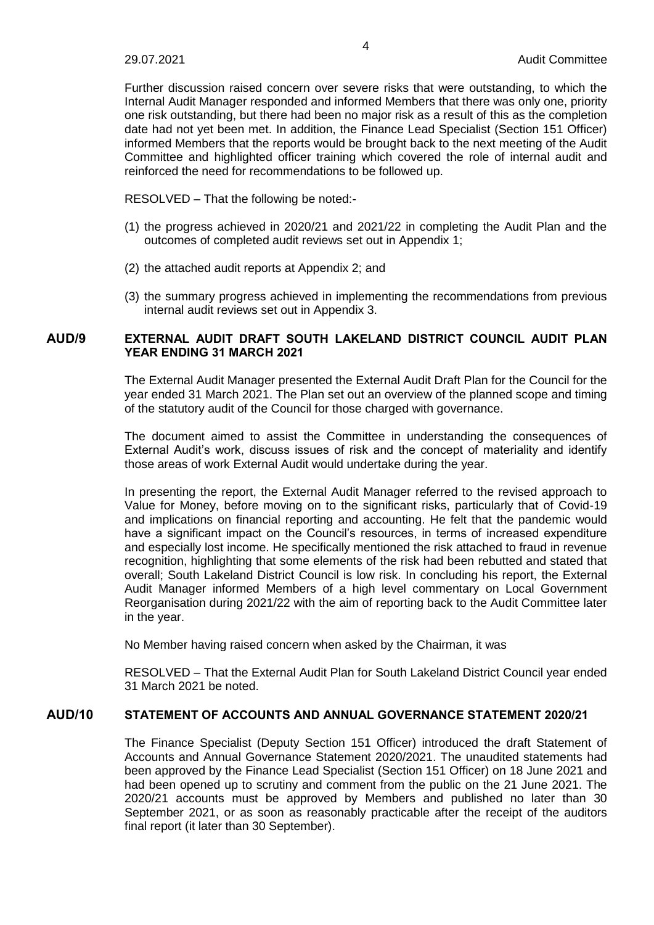Further discussion raised concern over severe risks that were outstanding, to which the Internal Audit Manager responded and informed Members that there was only one, priority one risk outstanding, but there had been no major risk as a result of this as the completion date had not yet been met. In addition, the Finance Lead Specialist (Section 151 Officer) informed Members that the reports would be brought back to the next meeting of the Audit Committee and highlighted officer training which covered the role of internal audit and reinforced the need for recommendations to be followed up.

RESOLVED – That the following be noted:-

- (1) the progress achieved in 2020/21 and 2021/22 in completing the Audit Plan and the outcomes of completed audit reviews set out in Appendix 1;
- (2) the attached audit reports at Appendix 2; and
- (3) the summary progress achieved in implementing the recommendations from previous internal audit reviews set out in Appendix 3.

# **AUD/9 EXTERNAL AUDIT DRAFT SOUTH LAKELAND DISTRICT COUNCIL AUDIT PLAN YEAR ENDING 31 MARCH 2021**

The External Audit Manager presented the External Audit Draft Plan for the Council for the year ended 31 March 2021. The Plan set out an overview of the planned scope and timing of the statutory audit of the Council for those charged with governance.

The document aimed to assist the Committee in understanding the consequences of External Audit's work, discuss issues of risk and the concept of materiality and identify those areas of work External Audit would undertake during the year.

In presenting the report, the External Audit Manager referred to the revised approach to Value for Money, before moving on to the significant risks, particularly that of Covid-19 and implications on financial reporting and accounting. He felt that the pandemic would have a significant impact on the Council's resources, in terms of increased expenditure and especially lost income. He specifically mentioned the risk attached to fraud in revenue recognition, highlighting that some elements of the risk had been rebutted and stated that overall; South Lakeland District Council is low risk. In concluding his report, the External Audit Manager informed Members of a high level commentary on Local Government Reorganisation during 2021/22 with the aim of reporting back to the Audit Committee later in the year.

No Member having raised concern when asked by the Chairman, it was

RESOLVED – That the External Audit Plan for South Lakeland District Council year ended 31 March 2021 be noted.

# **AUD/10 STATEMENT OF ACCOUNTS AND ANNUAL GOVERNANCE STATEMENT 2020/21**

The Finance Specialist (Deputy Section 151 Officer) introduced the draft Statement of Accounts and Annual Governance Statement 2020/2021. The unaudited statements had been approved by the Finance Lead Specialist (Section 151 Officer) on 18 June 2021 and had been opened up to scrutiny and comment from the public on the 21 June 2021. The 2020/21 accounts must be approved by Members and published no later than 30 September 2021, or as soon as reasonably practicable after the receipt of the auditors final report (it later than 30 September).